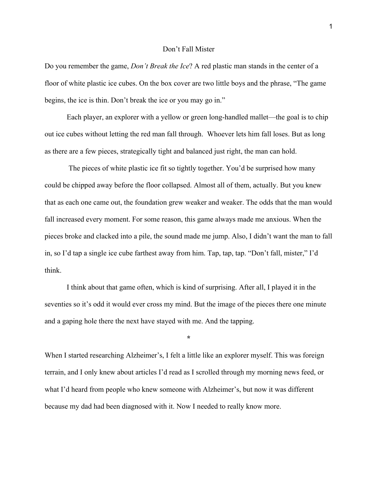## Don't Fall Mister

Do you remember the game, *Don't Break the Ice*? A red plastic man stands in the center of a floor of white plastic ice cubes. On the box cover are two little boys and the phrase, "The game begins, the ice is thin. Don't break the ice or you may go in."

Each player, an explorer with a yellow or green long-handled mallet—the goal is to chip out ice cubes without letting the red man fall through. Whoever lets him fall loses. But as long as there are a few pieces, strategically tight and balanced just right, the man can hold.

The pieces of white plastic ice fit so tightly together. You'd be surprised how many could be chipped away before the floor collapsed. Almost all of them, actually. But you knew that as each one came out, the foundation grew weaker and weaker. The odds that the man would fall increased every moment. For some reason, this game always made me anxious. When the pieces broke and clacked into a pile, the sound made me jump. Also, I didn't want the man to fall in, so I'd tap a single ice cube farthest away from him. Tap, tap, tap. "Don't fall, mister," I'd think.

I think about that game often, which is kind of surprising. After all, I played it in the seventies so it's odd it would ever cross my mind. But the image of the pieces there one minute and a gaping hole there the next have stayed with me. And the tapping.

**\***

When I started researching Alzheimer's, I felt a little like an explorer myself. This was foreign terrain, and I only knew about articles I'd read as I scrolled through my morning news feed, or what I'd heard from people who knew someone with Alzheimer's, but now it was different because my dad had been diagnosed with it. Now I needed to really know more.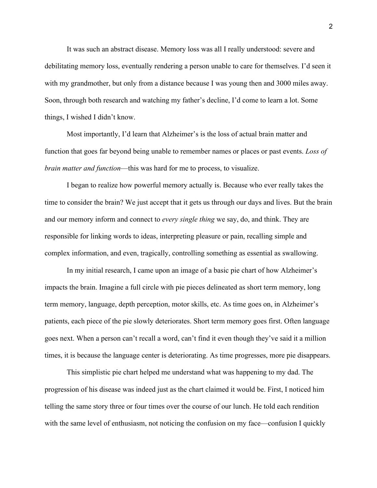It was such an abstract disease. Memory loss was all I really understood: severe and debilitating memory loss, eventually rendering a person unable to care for themselves. I'd seen it with my grandmother, but only from a distance because I was young then and 3000 miles away. Soon, through both research and watching my father's decline, I'd come to learn a lot. Some things, I wished I didn't know.

Most importantly, I'd learn that Alzheimer's is the loss of actual brain matter and function that goes far beyond being unable to remember names or places or past events. *Loss of brain matter and function*—this was hard for me to process, to visualize.

I began to realize how powerful memory actually is. Because who ever really takes the time to consider the brain? We just accept that it gets us through our days and lives. But the brain and our memory inform and connect to *every single thing* we say, do, and think. They are responsible for linking words to ideas, interpreting pleasure or pain, recalling simple and complex information, and even, tragically, controlling something as essential as swallowing.

In my initial research, I came upon an image of a basic pie chart of how Alzheimer's impacts the brain. Imagine a full circle with pie pieces delineated as short term memory, long term memory, language, depth perception, motor skills, etc. As time goes on, in Alzheimer's patients, each piece of the pie slowly deteriorates. Short term memory goes first. Often language goes next. When a person can't recall a word, can't find it even though they've said it a million times, it is because the language center is deteriorating. As time progresses, more pie disappears.

This simplistic pie chart helped me understand what was happening to my dad. The progression of his disease was indeed just as the chart claimed it would be. First, I noticed him telling the same story three or four times over the course of our lunch. He told each rendition with the same level of enthusiasm, not noticing the confusion on my face—confusion I quickly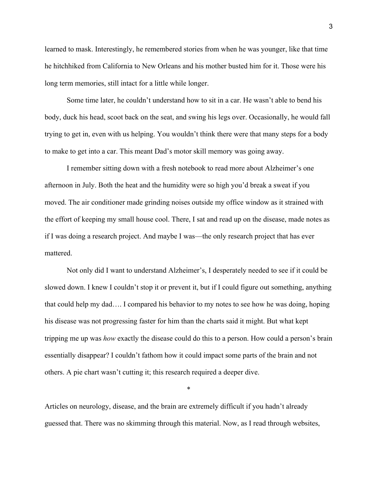learned to mask. Interestingly, he remembered stories from when he was younger, like that time he hitchhiked from California to New Orleans and his mother busted him for it. Those were his long term memories, still intact for a little while longer.

Some time later, he couldn't understand how to sit in a car. He wasn't able to bend his body, duck his head, scoot back on the seat, and swing his legs over. Occasionally, he would fall trying to get in, even with us helping. You wouldn't think there were that many steps for a body to make to get into a car. This meant Dad's motor skill memory was going away.

I remember sitting down with a fresh notebook to read more about Alzheimer's one afternoon in July. Both the heat and the humidity were so high you'd break a sweat if you moved. The air conditioner made grinding noises outside my office window as it strained with the effort of keeping my small house cool. There, I sat and read up on the disease, made notes as if I was doing a research project. And maybe I was—the only research project that has ever mattered.

Not only did I want to understand Alzheimer's, I desperately needed to see if it could be slowed down. I knew I couldn't stop it or prevent it, but if I could figure out something, anything that could help my dad…. I compared his behavior to my notes to see how he was doing, hoping his disease was not progressing faster for him than the charts said it might. But what kept tripping me up was *how* exactly the disease could do this to a person. How could a person's brain essentially disappear? I couldn't fathom how it could impact some parts of the brain and not others. A pie chart wasn't cutting it; this research required a deeper dive.

Articles on neurology, disease, and the brain are extremely difficult if you hadn't already guessed that. There was no skimming through this material. Now, as I read through websites,

\*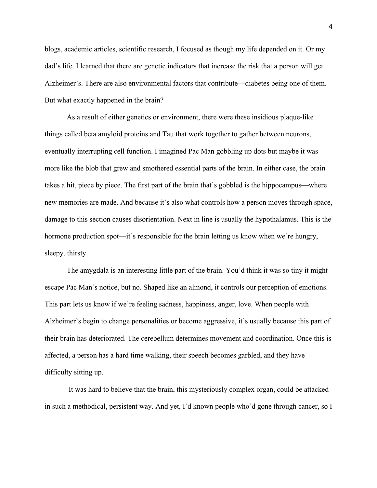blogs, academic articles, scientific research, I focused as though my life depended on it. Or my dad's life. I learned that there are genetic indicators that increase the risk that a person will get Alzheimer's. There are also environmental factors that contribute—diabetes being one of them. But what exactly happened in the brain?

As a result of either genetics or environment, there were these insidious plaque-like things called beta amyloid proteins and Tau that work together to gather between neurons, eventually interrupting cell function. I imagined Pac Man gobbling up dots but maybe it was more like the blob that grew and smothered essential parts of the brain. In either case, the brain takes a hit, piece by piece. The first part of the brain that's gobbled is the hippocampus—where new memories are made. And because it's also what controls how a person moves through space, damage to this section causes disorientation. Next in line is usually the hypothalamus. This is the hormone production spot—it's responsible for the brain letting us know when we're hungry, sleepy, thirsty.

The amygdala is an interesting little part of the brain. You'd think it was so tiny it might escape Pac Man's notice, but no. Shaped like an almond, it controls our perception of emotions. This part lets us know if we're feeling sadness, happiness, anger, love. When people with Alzheimer's begin to change personalities or become aggressive, it's usually because this part of their brain has deteriorated. The cerebellum determines movement and coordination. Once this is affected, a person has a hard time walking, their speech becomes garbled, and they have difficulty sitting up.

It was hard to believe that the brain, this mysteriously complex organ, could be attacked in such a methodical, persistent way. And yet, I'd known people who'd gone through cancer, so I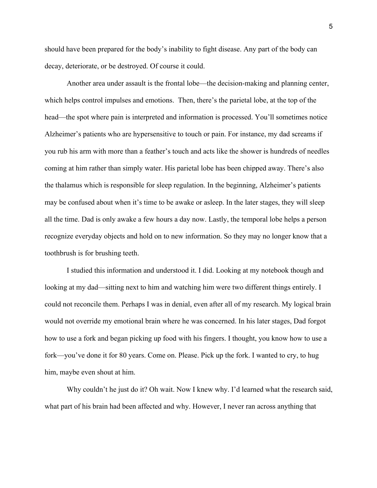should have been prepared for the body's inability to fight disease. Any part of the body can decay, deteriorate, or be destroyed. Of course it could.

Another area under assault is the frontal lobe—the decision-making and planning center, which helps control impulses and emotions. Then, there's the parietal lobe, at the top of the head—the spot where pain is interpreted and information is processed. You'll sometimes notice Alzheimer's patients who are hypersensitive to touch or pain. For instance, my dad screams if you rub his arm with more than a feather's touch and acts like the shower is hundreds of needles coming at him rather than simply water. His parietal lobe has been chipped away. There's also the thalamus which is responsible for sleep regulation. In the beginning, Alzheimer's patients may be confused about when it's time to be awake or asleep. In the later stages, they will sleep all the time. Dad is only awake a few hours a day now. Lastly, the temporal lobe helps a person recognize everyday objects and hold on to new information. So they may no longer know that a toothbrush is for brushing teeth.

I studied this information and understood it. I did. Looking at my notebook though and looking at my dad—sitting next to him and watching him were two different things entirely. I could not reconcile them. Perhaps I was in denial, even after all of my research. My logical brain would not override my emotional brain where he was concerned. In his later stages, Dad forgot how to use a fork and began picking up food with his fingers. I thought, you know how to use a fork—you've done it for 80 years. Come on. Please. Pick up the fork. I wanted to cry, to hug him, maybe even shout at him.

Why couldn't he just do it? Oh wait. Now I knew why. I'd learned what the research said, what part of his brain had been affected and why. However, I never ran across anything that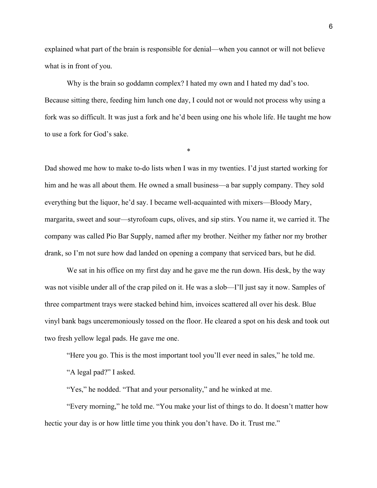explained what part of the brain is responsible for denial—when you cannot or will not believe what is in front of you.

Why is the brain so goddamn complex? I hated my own and I hated my dad's too. Because sitting there, feeding him lunch one day, I could not or would not process why using a fork was so difficult. It was just a fork and he'd been using one his whole life. He taught me how to use a fork for God's sake.

\*

Dad showed me how to make to-do lists when I was in my twenties. I'd just started working for him and he was all about them. He owned a small business—a bar supply company. They sold everything but the liquor, he'd say. I became well-acquainted with mixers—Bloody Mary, margarita, sweet and sour—styrofoam cups, olives, and sip stirs. You name it, we carried it. The company was called Pio Bar Supply, named after my brother. Neither my father nor my brother drank, so I'm not sure how dad landed on opening a company that serviced bars, but he did.

We sat in his office on my first day and he gave me the run down. His desk, by the way was not visible under all of the crap piled on it. He was a slob—I'll just say it now. Samples of three compartment trays were stacked behind him, invoices scattered all over his desk. Blue vinyl bank bags unceremoniously tossed on the floor. He cleared a spot on his desk and took out two fresh yellow legal pads. He gave me one.

"Here you go. This is the most important tool you'll ever need in sales," he told me.

"A legal pad?" I asked.

"Yes," he nodded. "That and your personality," and he winked at me.

"Every morning," he told me. "You make your list of things to do. It doesn't matter how hectic your day is or how little time you think you don't have. Do it. Trust me."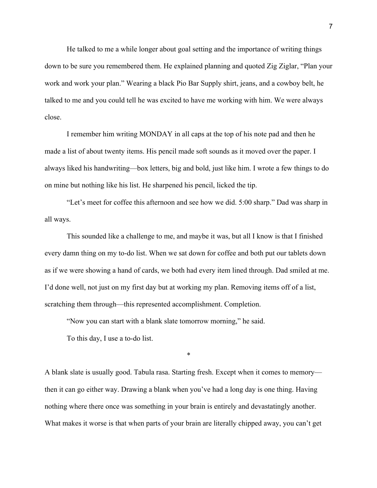He talked to me a while longer about goal setting and the importance of writing things down to be sure you remembered them. He explained planning and quoted Zig Ziglar, "Plan your work and work your plan." Wearing a black Pio Bar Supply shirt, jeans, and a cowboy belt, he talked to me and you could tell he was excited to have me working with him. We were always close.

I remember him writing MONDAY in all caps at the top of his note pad and then he made a list of about twenty items. His pencil made soft sounds as it moved over the paper. I always liked his handwriting—box letters, big and bold, just like him. I wrote a few things to do on mine but nothing like his list. He sharpened his pencil, licked the tip.

"Let's meet for coffee this afternoon and see how we did. 5:00 sharp." Dad was sharp in all ways.

This sounded like a challenge to me, and maybe it was, but all I know is that I finished every damn thing on my to-do list. When we sat down for coffee and both put our tablets down as if we were showing a hand of cards, we both had every item lined through. Dad smiled at me. I'd done well, not just on my first day but at working my plan. Removing items off of a list, scratching them through—this represented accomplishment. Completion.

"Now you can start with a blank slate tomorrow morning," he said.

To this day, I use a to-do list.

A blank slate is usually good. Tabula rasa. Starting fresh. Except when it comes to memory then it can go either way. Drawing a blank when you've had a long day is one thing. Having nothing where there once was something in your brain is entirely and devastatingly another. What makes it worse is that when parts of your brain are literally chipped away, you can't get

\*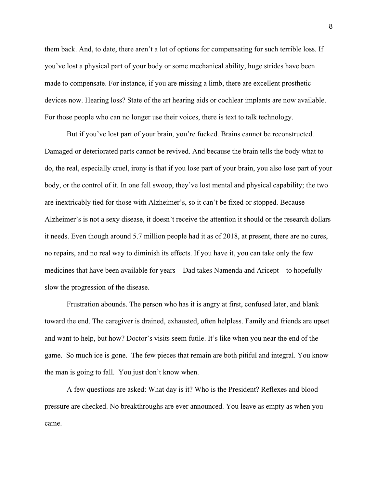them back. And, to date, there aren't a lot of options for compensating for such terrible loss. If you've lost a physical part of your body or some mechanical ability, huge strides have been made to compensate. For instance, if you are missing a limb, there are excellent prosthetic devices now. Hearing loss? State of the art hearing aids or cochlear implants are now available. For those people who can no longer use their voices, there is text to talk technology.

But if you've lost part of your brain, you're fucked. Brains cannot be reconstructed. Damaged or deteriorated parts cannot be revived. And because the brain tells the body what to do, the real, especially cruel, irony is that if you lose part of your brain, you also lose part of your body, or the control of it. In one fell swoop, they've lost mental and physical capability; the two are inextricably tied for those with Alzheimer's, so it can't be fixed or stopped. Because Alzheimer's is not a sexy disease, it doesn't receive the attention it should or the research dollars it needs. Even though around 5.7 million people had it as of 2018, at present, there are no cures, no repairs, and no real way to diminish its effects. If you have it, you can take only the few medicines that have been available for years—Dad takes Namenda and Aricept—to hopefully slow the progression of the disease.

Frustration abounds. The person who has it is angry at first, confused later, and blank toward the end. The caregiver is drained, exhausted, often helpless. Family and friends are upset and want to help, but how? Doctor's visits seem futile. It's like when you near the end of the game. So much ice is gone. The few pieces that remain are both pitiful and integral. You know the man is going to fall. You just don't know when.

A few questions are asked: What day is it? Who is the President? Reflexes and blood pressure are checked. No breakthroughs are ever announced. You leave as empty as when you came.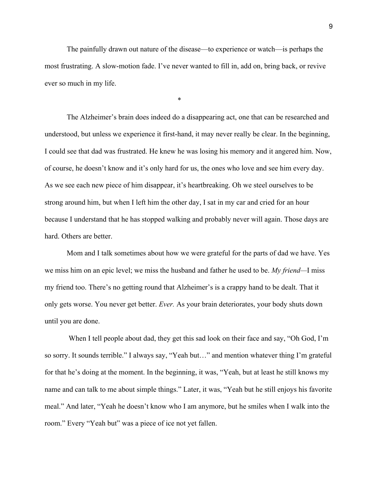The painfully drawn out nature of the disease—to experience or watch—is perhaps the most frustrating. A slow-motion fade. I've never wanted to fill in, add on, bring back, or revive ever so much in my life.

\*

The Alzheimer's brain does indeed do a disappearing act, one that can be researched and understood, but unless we experience it first-hand, it may never really be clear. In the beginning, I could see that dad was frustrated. He knew he was losing his memory and it angered him. Now, of course, he doesn't know and it's only hard for us, the ones who love and see him every day. As we see each new piece of him disappear, it's heartbreaking. Oh we steel ourselves to be strong around him, but when I left him the other day, I sat in my car and cried for an hour because I understand that he has stopped walking and probably never will again. Those days are hard. Others are better.

Mom and I talk sometimes about how we were grateful for the parts of dad we have. Yes we miss him on an epic level; we miss the husband and father he used to be. *My friend—*I miss my friend too. There's no getting round that Alzheimer's is a crappy hand to be dealt. That it only gets worse. You never get better. *Ever.* As your brain deteriorates, your body shuts down until you are done.

When I tell people about dad, they get this sad look on their face and say, "Oh God, I'm so sorry. It sounds terrible." I always say, "Yeah but…" and mention whatever thing I'm grateful for that he's doing at the moment. In the beginning, it was, "Yeah, but at least he still knows my name and can talk to me about simple things." Later, it was, "Yeah but he still enjoys his favorite meal." And later, "Yeah he doesn't know who I am anymore, but he smiles when I walk into the room." Every "Yeah but" was a piece of ice not yet fallen.